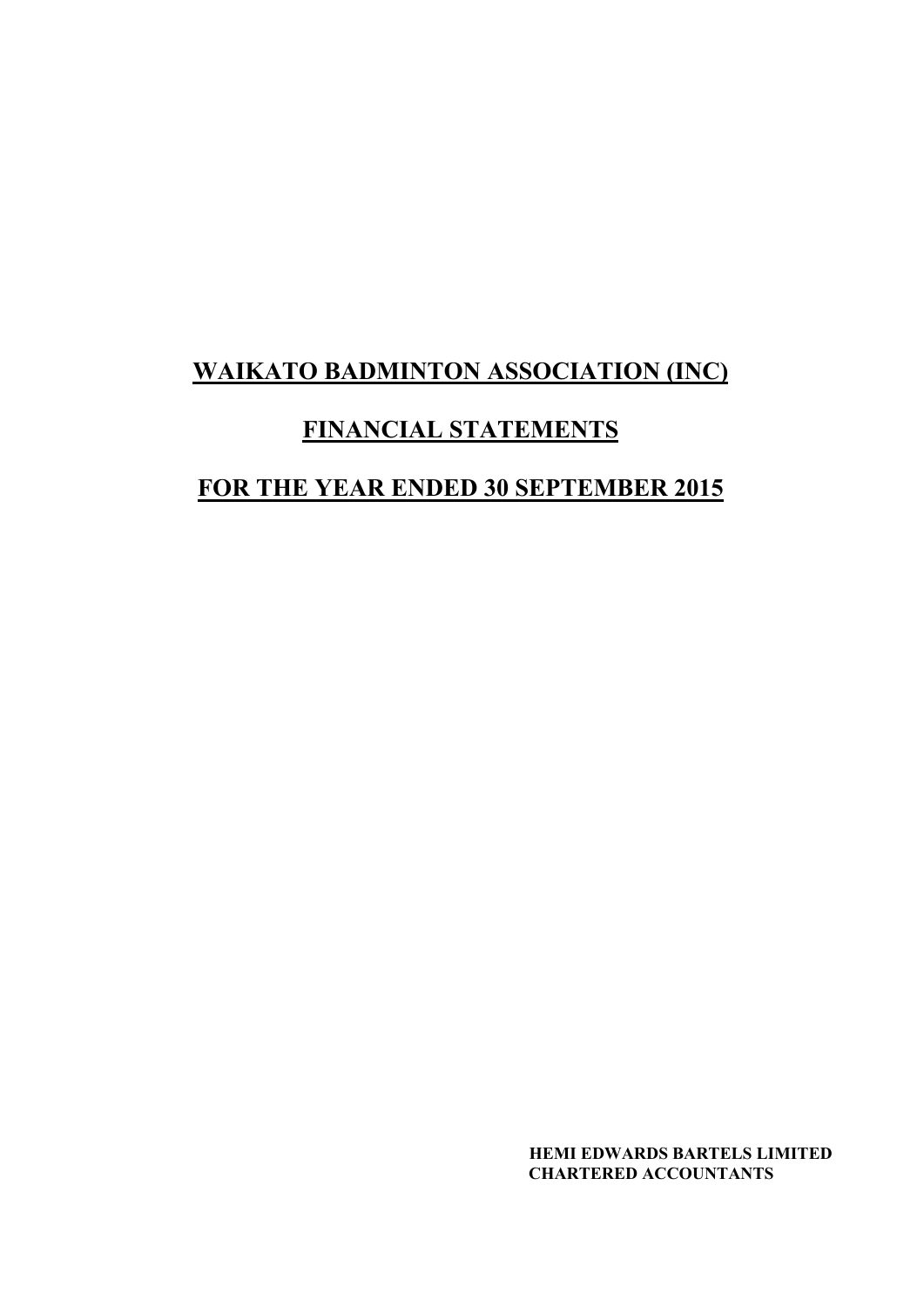### **FINANCIAL STATEMENTS**

# **FOR THE YEAR ENDED 30 SEPTEMBER 2015**

 **HEMI EDWARDS BARTELS LIMITED CHARTERED ACCOUNTANTS**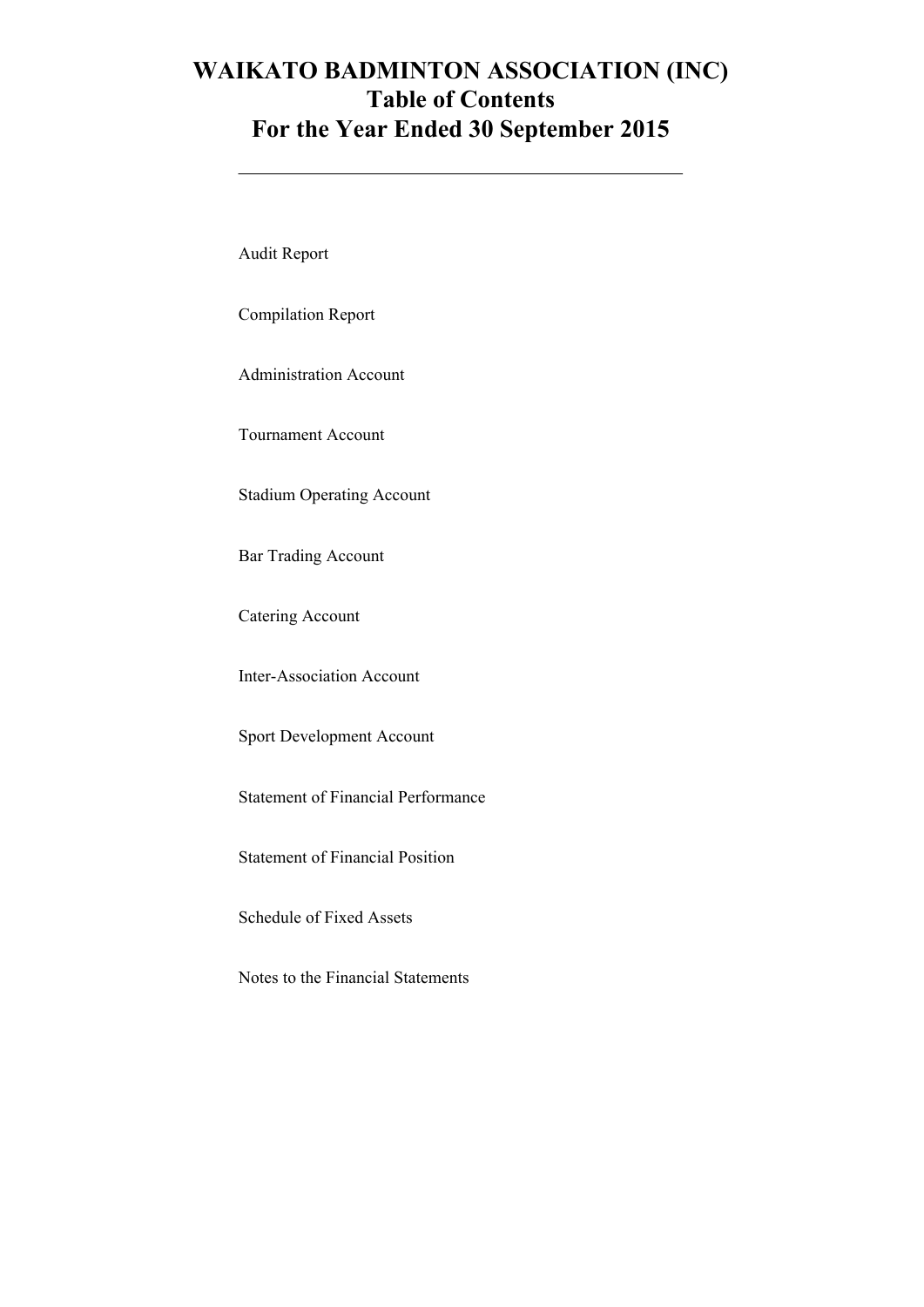### **WAIKATO BADMINTON ASSOCIATION (INC) Table of Contents For the Year Ended 30 September 2015**

Audit Report

Compilation Report

Administration Account

Tournament Account

Stadium Operating Account

Bar Trading Account

Catering Account

Inter-Association Account

Sport Development Account

Statement of Financial Performance

Statement of Financial Position

Schedule of Fixed Assets

Notes to the Financial Statements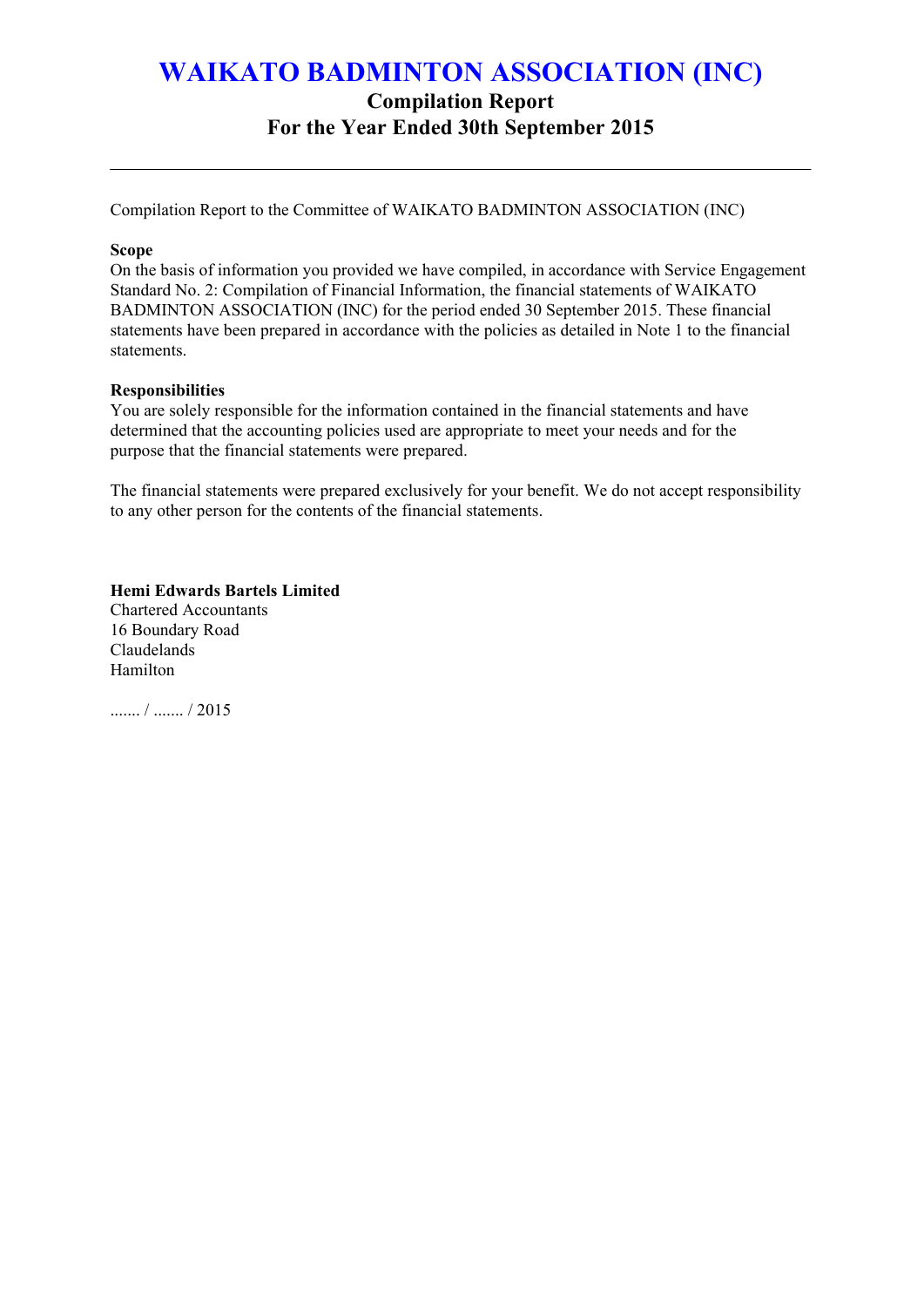**Compilation Report**

**For the Year Ended 30th September 2015**

Compilation Report to the Committee of WAIKATO BADMINTON ASSOCIATION (INC)

#### **Scope**

On the basis of information you provided we have compiled, in accordance with Service Engagement Standard No. 2: Compilation of Financial Information, the financial statements of WAIKATO BADMINTON ASSOCIATION (INC) for the period ended 30 September 2015. These financial statements have been prepared in accordance with the policies as detailed in Note 1 to the financial statements.

#### **Responsibilities**

You are solely responsible for the information contained in the financial statements and have determined that the accounting policies used are appropriate to meet your needs and for the purpose that the financial statements were prepared.

The financial statements were prepared exclusively for your benefit. We do not accept responsibility to any other person for the contents of the financial statements.

**Hemi Edwards Bartels Limited** Chartered Accountants 16 Boundary Road Claudelands Hamilton

 $/$   $/$  2015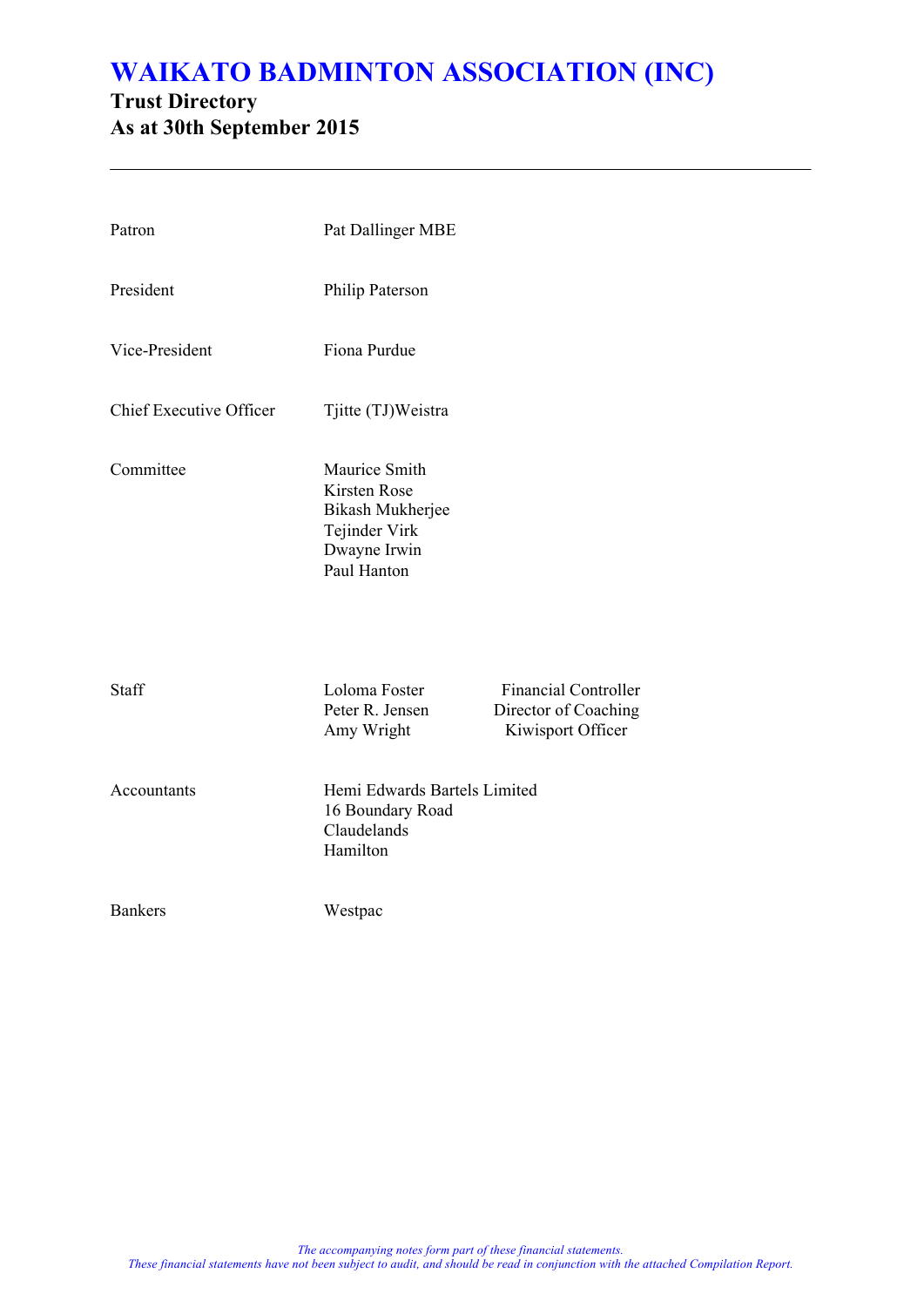### **Trust Directory As at 30th September 2015**

| Patron                  | Pat Dallinger MBE                                                                                        |                                                                          |
|-------------------------|----------------------------------------------------------------------------------------------------------|--------------------------------------------------------------------------|
| President               | Philip Paterson                                                                                          |                                                                          |
| Vice-President          | Fiona Purdue                                                                                             |                                                                          |
| Chief Executive Officer | Tjitte (TJ)Weistra                                                                                       |                                                                          |
| Committee               | Maurice Smith<br><b>Kirsten Rose</b><br>Bikash Mukherjee<br>Tejinder Virk<br>Dwayne Irwin<br>Paul Hanton |                                                                          |
| Staff                   | Loloma Foster<br>Peter R. Jensen<br>Amy Wright                                                           | <b>Financial Controller</b><br>Director of Coaching<br>Kiwisport Officer |
| Accountants             | Hemi Edwards Bartels Limited<br>16 Boundary Road<br>Claudelands<br>Hamilton                              |                                                                          |
| <b>Bankers</b>          | Westpac                                                                                                  |                                                                          |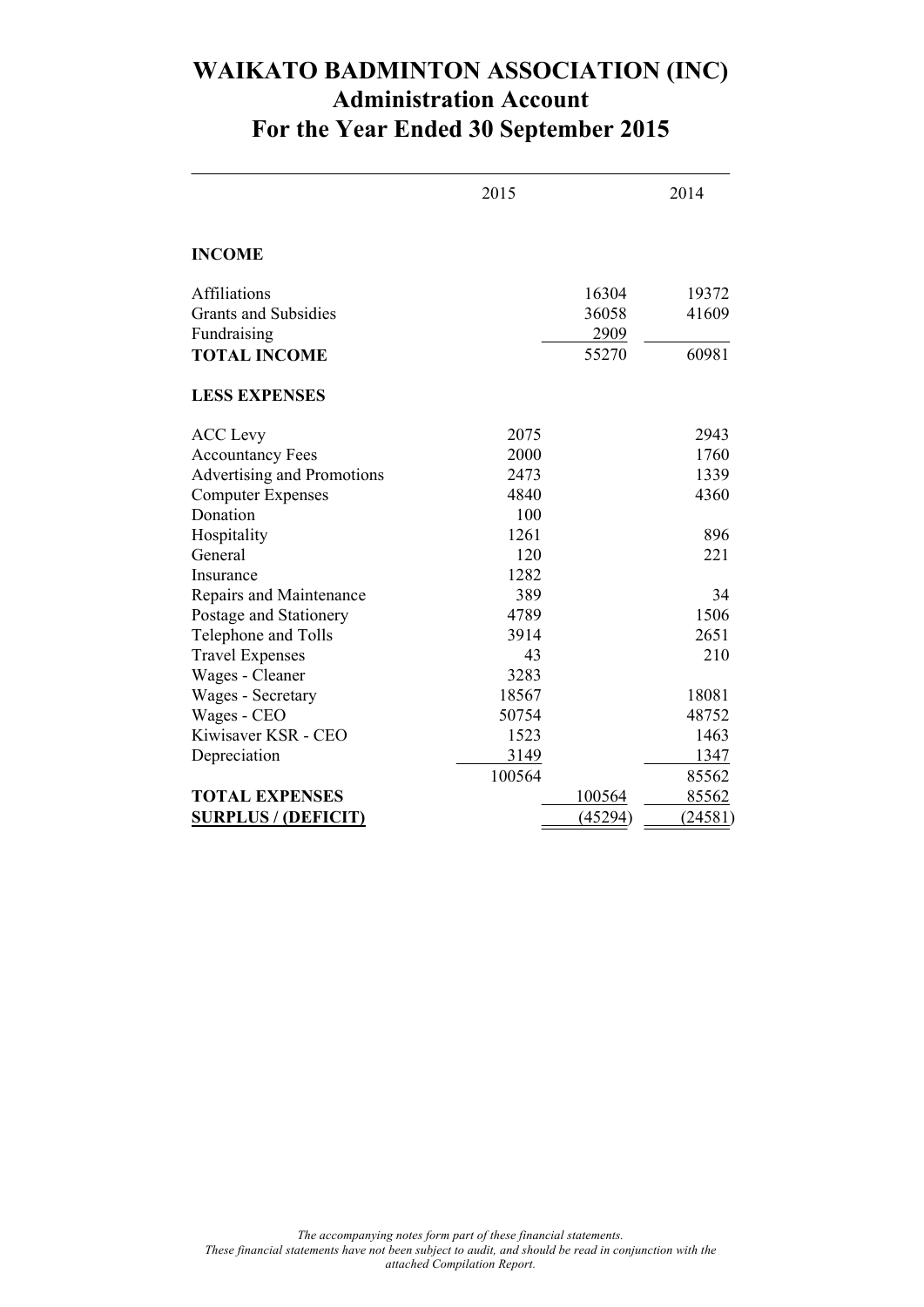### **WAIKATO BADMINTON ASSOCIATION (INC) Administration Account For the Year Ended 30 September 2015**

|                             | 2015   |         | 2014    |
|-----------------------------|--------|---------|---------|
| <b>INCOME</b>               |        |         |         |
| Affiliations                |        | 16304   | 19372   |
| <b>Grants and Subsidies</b> |        | 36058   | 41609   |
| Fundraising                 |        | 2909    |         |
| <b>TOTAL INCOME</b>         |        | 55270   | 60981   |
| <b>LESS EXPENSES</b>        |        |         |         |
| <b>ACC</b> Levy             | 2075   |         | 2943    |
| <b>Accountancy Fees</b>     | 2000   |         | 1760    |
| Advertising and Promotions  | 2473   |         | 1339    |
| <b>Computer Expenses</b>    | 4840   |         | 4360    |
| Donation                    | 100    |         |         |
| Hospitality                 | 1261   |         | 896     |
| General                     | 120    |         | 221     |
| Insurance                   | 1282   |         |         |
| Repairs and Maintenance     | 389    |         | 34      |
| Postage and Stationery      | 4789   |         | 1506    |
| Telephone and Tolls         | 3914   |         | 2651    |
| <b>Travel Expenses</b>      | 43     |         | 210     |
| Wages - Cleaner             | 3283   |         |         |
| Wages - Secretary           | 18567  |         | 18081   |
| Wages - CEO                 | 50754  |         | 48752   |
| Kiwisaver KSR - CEO         | 1523   |         | 1463    |
| Depreciation                | 3149   |         | 1347    |
|                             | 100564 |         | 85562   |
| <b>TOTAL EXPENSES</b>       |        | 100564  | 85562   |
| <b>SURPLUS / (DEFICIT)</b>  |        | (45294) | (24581) |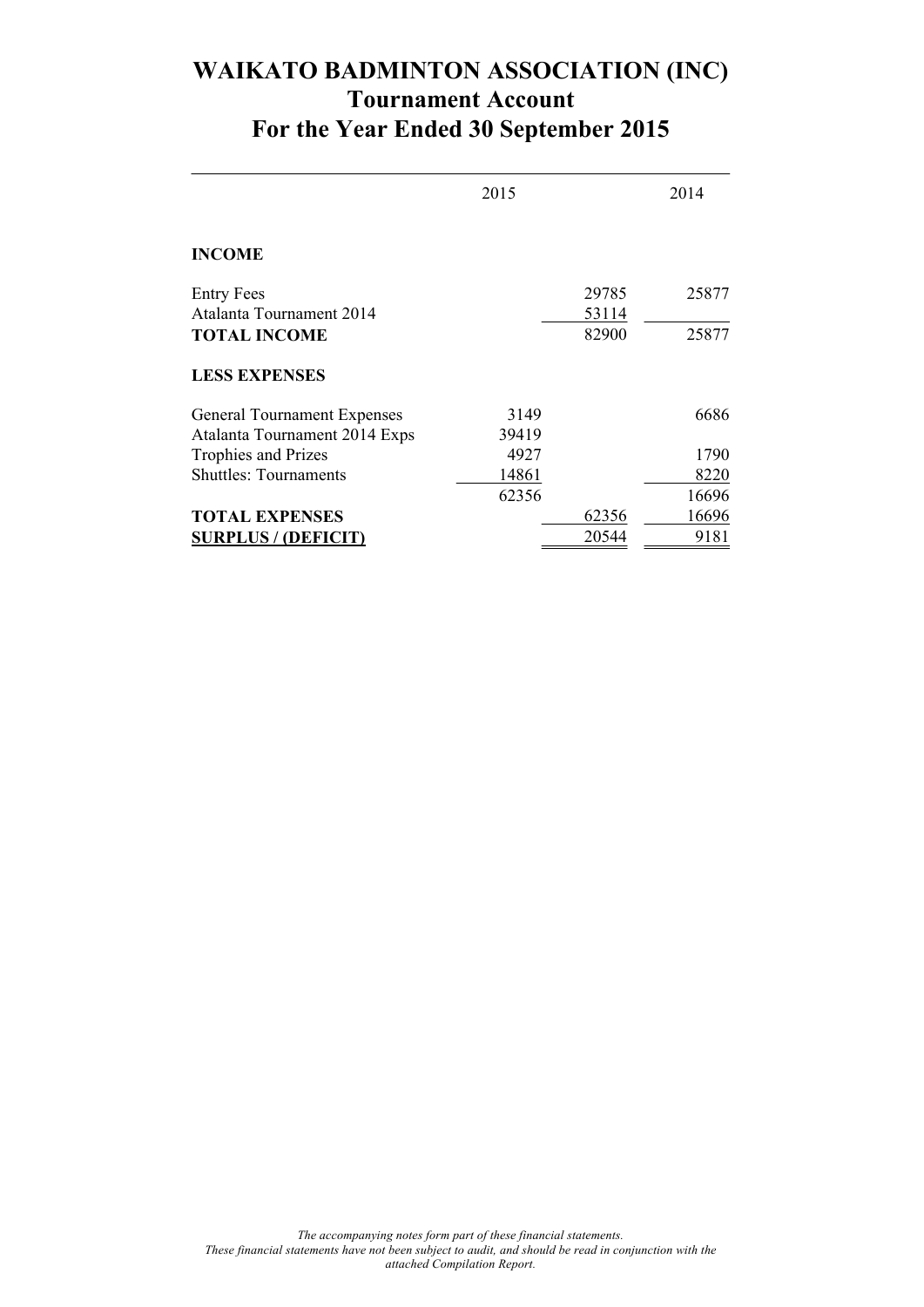### **WAIKATO BADMINTON ASSOCIATION (INC) Tournament Account For the Year Ended 30 September 2015**

|                                               | 2015  |                | 2014  |
|-----------------------------------------------|-------|----------------|-------|
| <b>INCOME</b>                                 |       |                |       |
| <b>Entry Fees</b><br>Atalanta Tournament 2014 |       | 29785<br>53114 | 25877 |
| <b>TOTAL INCOME</b>                           |       | 82900          | 25877 |
| <b>LESS EXPENSES</b>                          |       |                |       |
| <b>General Tournament Expenses</b>            | 3149  |                | 6686  |
| Atalanta Tournament 2014 Exps                 | 39419 |                |       |
| Trophies and Prizes                           | 4927  |                | 1790  |
| <b>Shuttles: Tournaments</b>                  | 14861 |                | 8220  |
|                                               | 62356 |                | 16696 |
| <b>TOTAL EXPENSES</b>                         |       | 62356          | 16696 |
| <b>SURPLUS / (DEFICIT)</b>                    |       | 20544          | 9181  |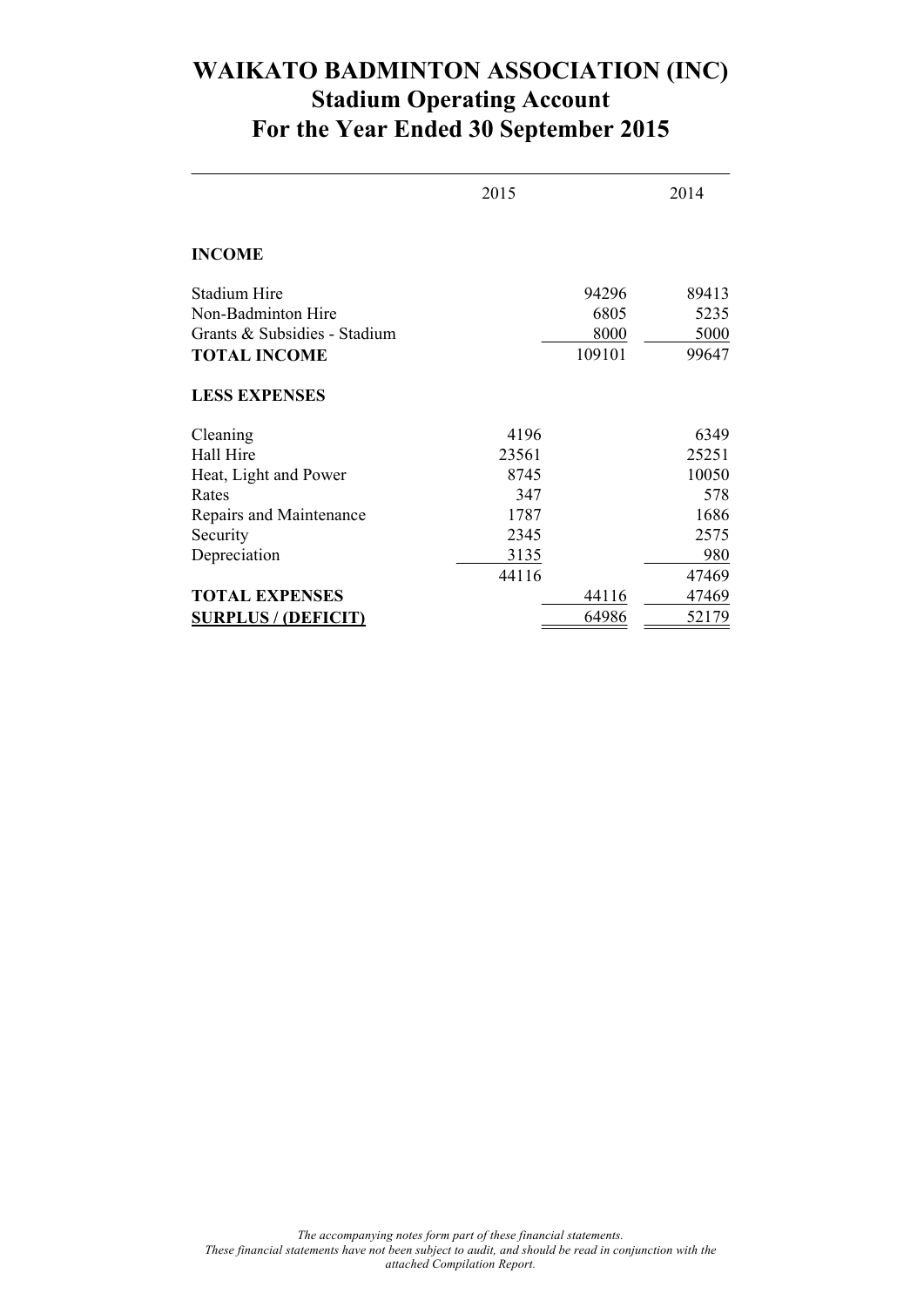### **WAIKATO BADMINTON ASSOCIATION (INC) Stadium Operating Account For the Year Ended 30 September 2015**

|                              | 2015  |        | 2014  |
|------------------------------|-------|--------|-------|
| <b>INCOME</b>                |       |        |       |
| Stadium Hire                 |       | 94296  | 89413 |
| Non-Badminton Hire           |       | 6805   | 5235  |
| Grants & Subsidies - Stadium |       | 8000   | 5000  |
| <b>TOTAL INCOME</b>          |       | 109101 | 99647 |
| <b>LESS EXPENSES</b>         |       |        |       |
| Cleaning                     | 4196  |        | 6349  |
| Hall Hire                    | 23561 |        | 25251 |
| Heat, Light and Power        | 8745  |        | 10050 |
| Rates                        | 347   |        | 578   |
| Repairs and Maintenance      | 1787  |        | 1686  |
| Security                     | 2345  |        | 2575  |
| Depreciation                 | 3135  |        | 980   |
|                              | 44116 |        | 47469 |
| <b>TOTAL EXPENSES</b>        |       | 44116  | 47469 |
| <b>SURPLUS / (DEFICIT)</b>   |       | 64986  | 52179 |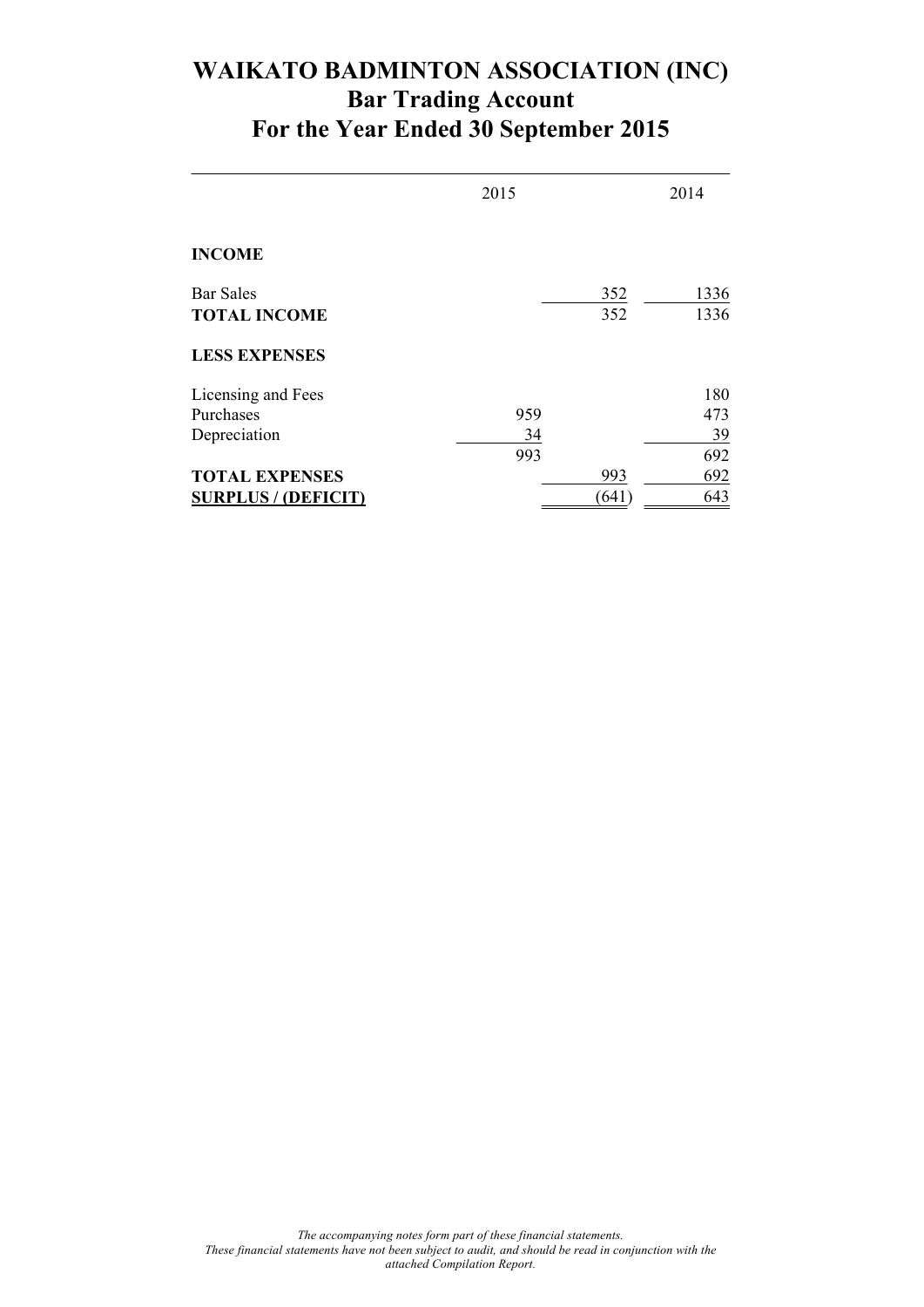### **WAIKATO BADMINTON ASSOCIATION (INC) Bar Trading Account For the Year Ended 30 September 2015**

|                                         | 2015 |            | 2014         |
|-----------------------------------------|------|------------|--------------|
| <b>INCOME</b>                           |      |            |              |
| <b>Bar Sales</b><br><b>TOTAL INCOME</b> |      | 352<br>352 | 1336<br>1336 |
| <b>LESS EXPENSES</b>                    |      |            |              |
| Licensing and Fees                      |      |            | 180          |
| Purchases                               | 959  |            | 473          |
| Depreciation                            | 34   |            | 39           |
|                                         | 993  |            | 692          |
| <b>TOTAL EXPENSES</b>                   |      | 993        | 692          |
| <b>SURPLUS / (DEFICIT)</b>              |      | (641)      | 643          |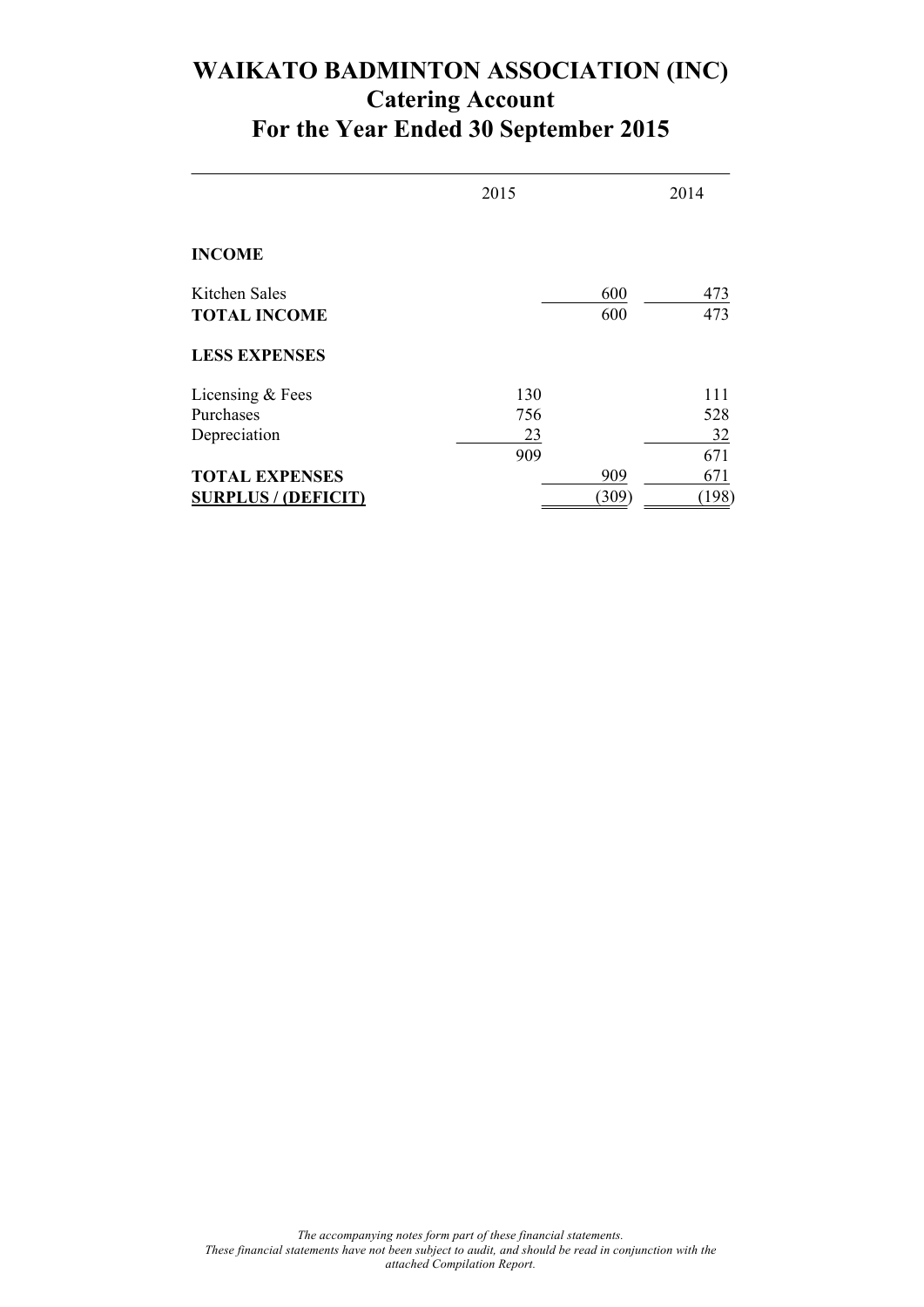## **WAIKATO BADMINTON ASSOCIATION (INC) Catering Account For the Year Ended 30 September 2015**

|                                      | 2015 |            | 2014       |
|--------------------------------------|------|------------|------------|
| <b>INCOME</b>                        |      |            |            |
| Kitchen Sales<br><b>TOTAL INCOME</b> |      | 600<br>600 | 473<br>473 |
| <b>LESS EXPENSES</b>                 |      |            |            |
| Licensing & Fees                     | 130  |            | 111        |
| Purchases                            | 756  |            | 528        |
| Depreciation                         | 23   |            | 32         |
|                                      | 909  |            | 671        |
| <b>TOTAL EXPENSES</b>                |      | 909        | 671        |
| <b>SURPLUS / (DEFICIT)</b>           |      | (309)      | (198)      |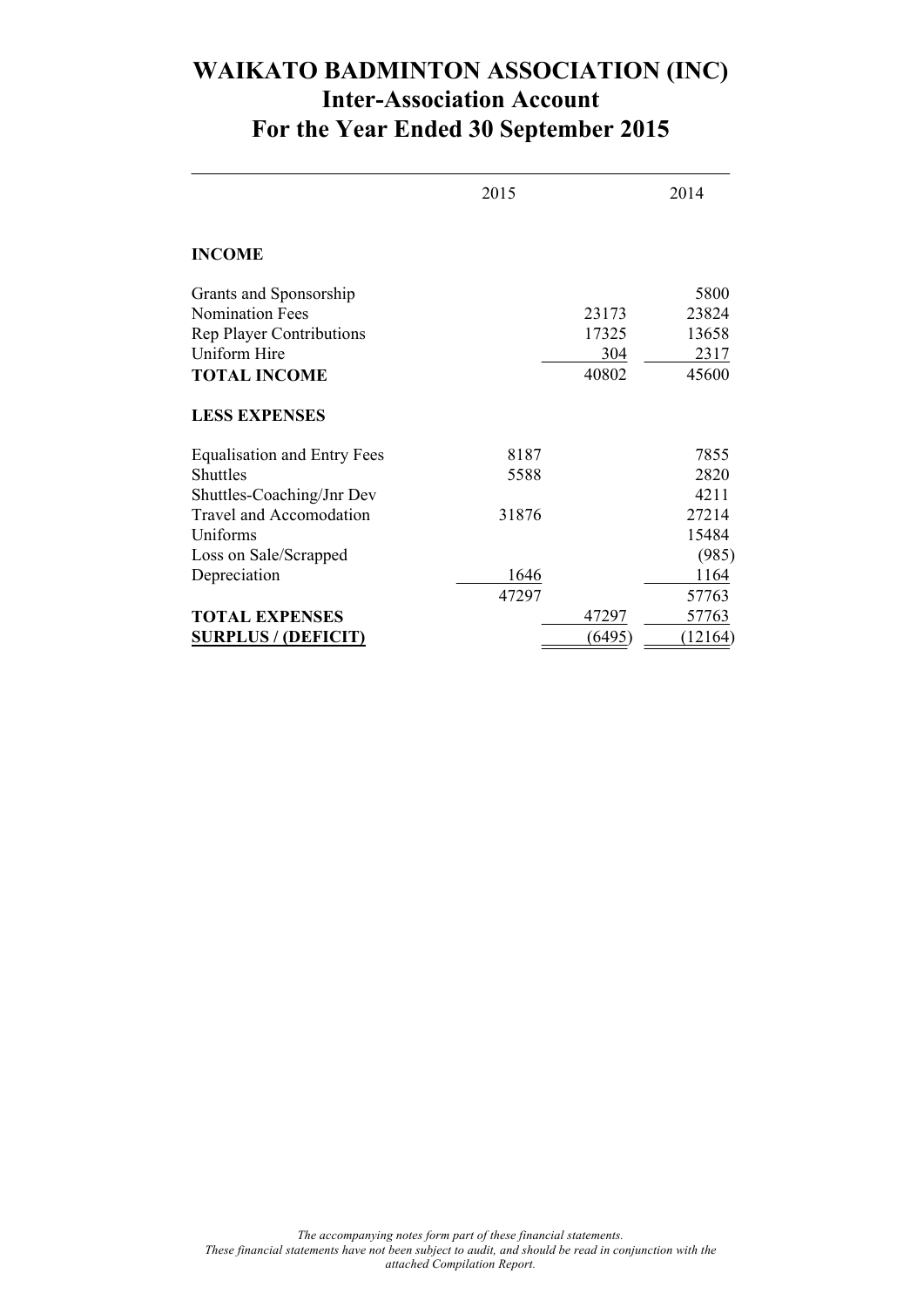### **WAIKATO BADMINTON ASSOCIATION (INC) Inter-Association Account For the Year Ended 30 September 2015**

|                                    | 2015  |        | 2014    |
|------------------------------------|-------|--------|---------|
| <b>INCOME</b>                      |       |        |         |
| Grants and Sponsorship             |       |        | 5800    |
| <b>Nomination Fees</b>             |       | 23173  | 23824   |
| <b>Rep Player Contributions</b>    |       | 17325  | 13658   |
| <b>Uniform Hire</b>                |       | 304    | 2317    |
| <b>TOTAL INCOME</b>                |       | 40802  | 45600   |
| <b>LESS EXPENSES</b>               |       |        |         |
| <b>Equalisation and Entry Fees</b> | 8187  |        | 7855    |
| Shuttles                           | 5588  |        | 2820    |
| Shuttles-Coaching/Jnr Dev          |       |        | 4211    |
| <b>Travel and Accomodation</b>     | 31876 |        | 27214   |
| Uniforms                           |       |        | 15484   |
| Loss on Sale/Scrapped              |       |        | (985)   |
| Depreciation                       | 1646  |        | 1164    |
|                                    | 47297 |        | 57763   |
| <b>TOTAL EXPENSES</b>              |       | 47297  | 57763   |
| <b>SURPLUS / (DEFICIT)</b>         |       | (6495) | (12164) |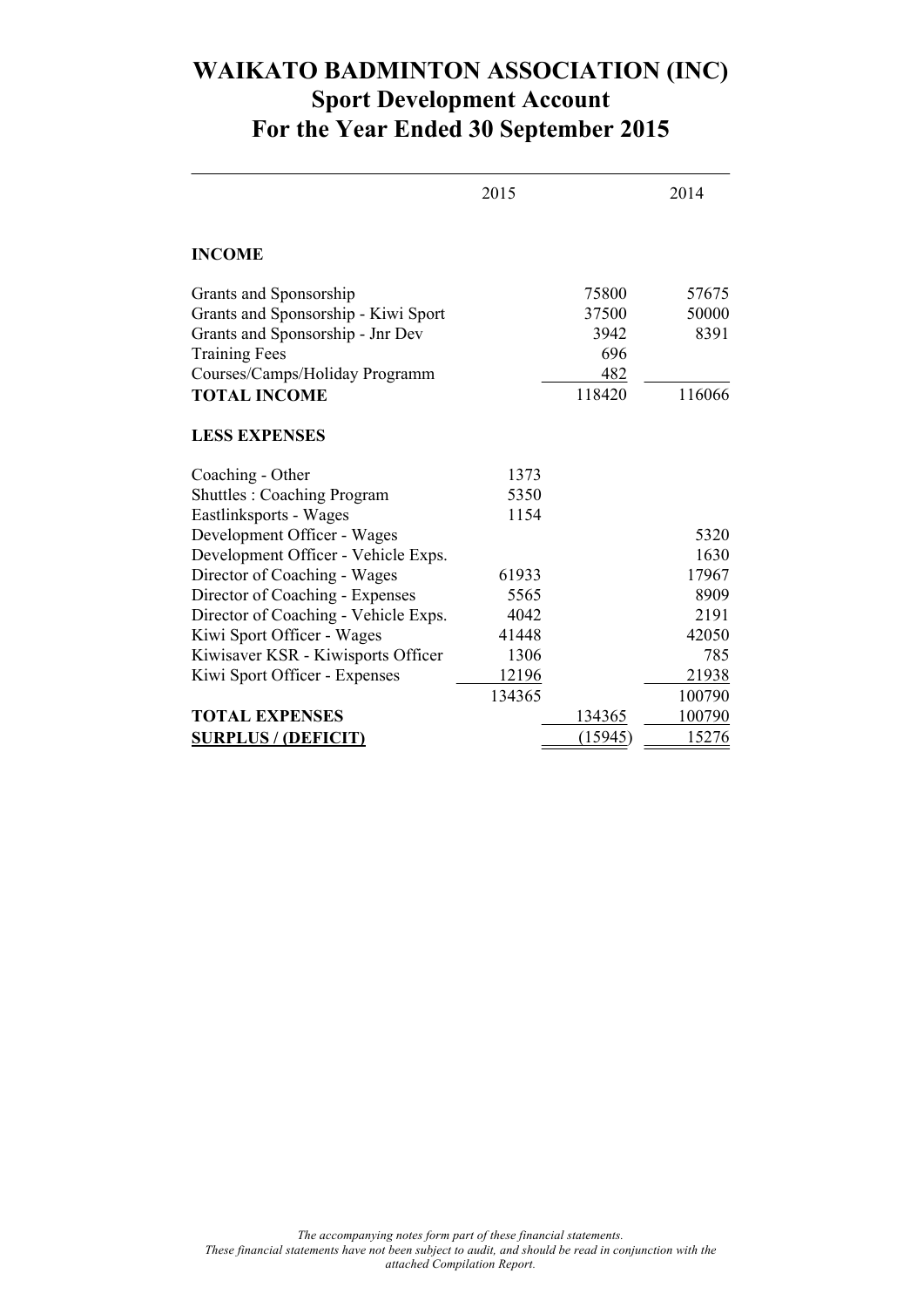### **WAIKATO BADMINTON ASSOCIATION (INC) Sport Development Account For the Year Ended 30 September 2015**

|                                      | 2015   |         | 2014          |
|--------------------------------------|--------|---------|---------------|
| <b>INCOME</b>                        |        |         |               |
| Grants and Sponsorship               |        | 75800   | 57675         |
| Grants and Sponsorship - Kiwi Sport  |        | 37500   | 50000         |
| Grants and Sponsorship - Jnr Dev     |        | 3942    | 8391          |
| <b>Training Fees</b>                 |        | 696     |               |
| Courses/Camps/Holiday Programm       |        | 482     |               |
| <b>TOTAL INCOME</b>                  |        | 118420  | 116066        |
| <b>LESS EXPENSES</b>                 |        |         |               |
| Coaching - Other                     | 1373   |         |               |
| <b>Shuttles: Coaching Program</b>    | 5350   |         |               |
| Eastlinksports - Wages               | 1154   |         |               |
| Development Officer - Wages          |        |         | 5320          |
| Development Officer - Vehicle Exps.  |        |         | 1630          |
| Director of Coaching - Wages         | 61933  |         | 17967         |
| Director of Coaching - Expenses      | 5565   |         | 8909          |
| Director of Coaching - Vehicle Exps. | 4042   |         | 2191          |
| Kiwi Sport Officer - Wages           | 41448  |         | 42050         |
| Kiwisaver KSR - Kiwisports Officer   | 1306   |         | 785           |
| Kiwi Sport Officer - Expenses        | 12196  |         | 21938         |
|                                      | 134365 |         | 100790        |
| <b>TOTAL EXPENSES</b>                |        | 134365  | 100790        |
| <b>SURPLUS / (DEFICIT)</b>           |        | (15945) | <u> 15276</u> |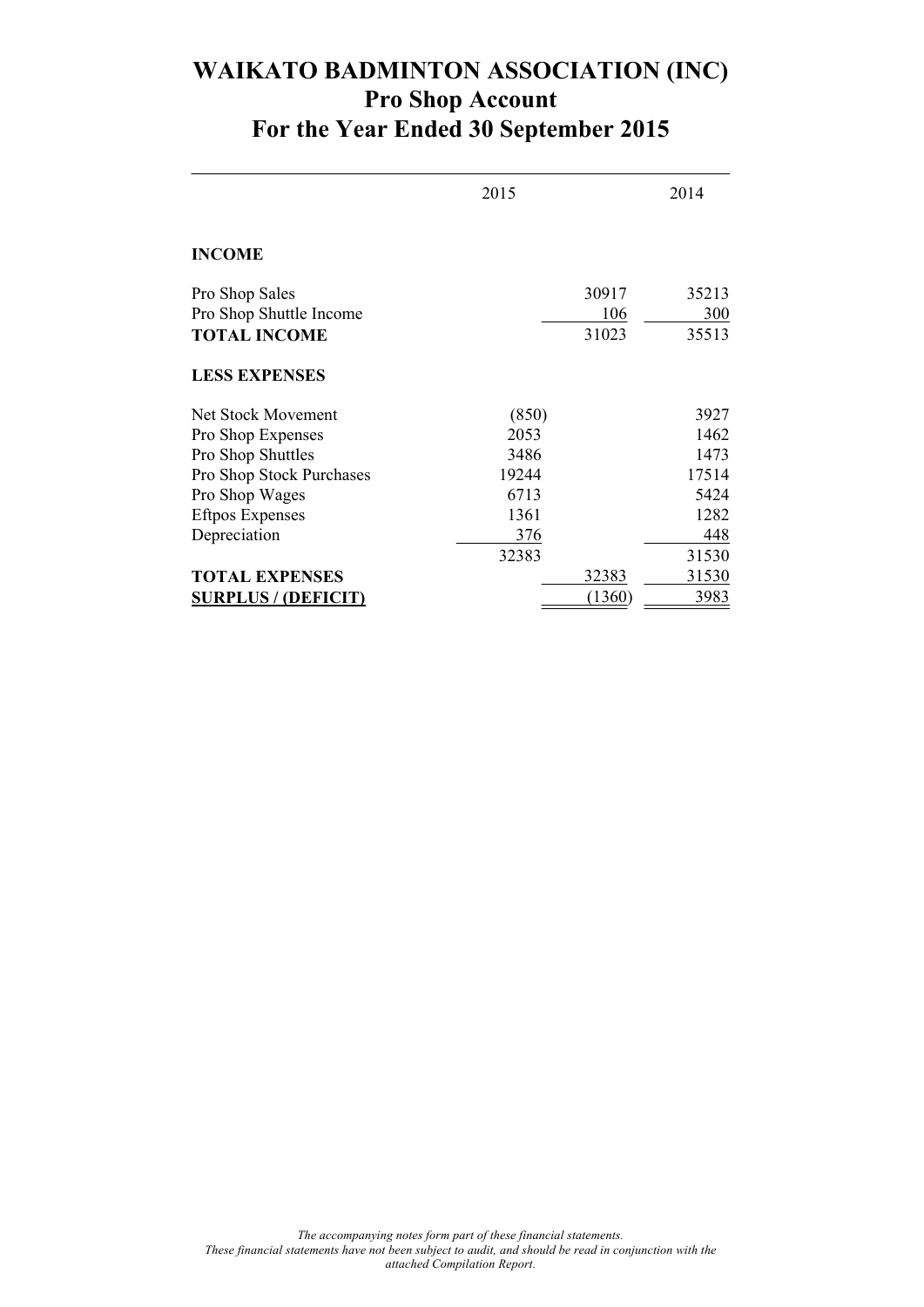### **WAIKATO BADMINTON ASSOCIATION (INC) Pro Shop Account For the Year Ended 30 September 2015**

|                            | 2015  |        | 2014  |
|----------------------------|-------|--------|-------|
| <b>INCOME</b>              |       |        |       |
| Pro Shop Sales             |       | 30917  | 35213 |
| Pro Shop Shuttle Income    |       | 106    | 300   |
| <b>TOTAL INCOME</b>        |       | 31023  | 35513 |
| <b>LESS EXPENSES</b>       |       |        |       |
| Net Stock Movement         | (850) |        | 3927  |
| Pro Shop Expenses          | 2053  |        | 1462  |
| Pro Shop Shuttles          | 3486  |        | 1473  |
| Pro Shop Stock Purchases   | 19244 |        | 17514 |
| Pro Shop Wages             | 6713  |        | 5424  |
| <b>Eftpos Expenses</b>     | 1361  |        | 1282  |
| Depreciation               | 376   |        | 448   |
|                            | 32383 |        | 31530 |
| <b>TOTAL EXPENSES</b>      |       | 32383  | 31530 |
| <b>SURPLUS / (DEFICIT)</b> |       | (1360) | 3983  |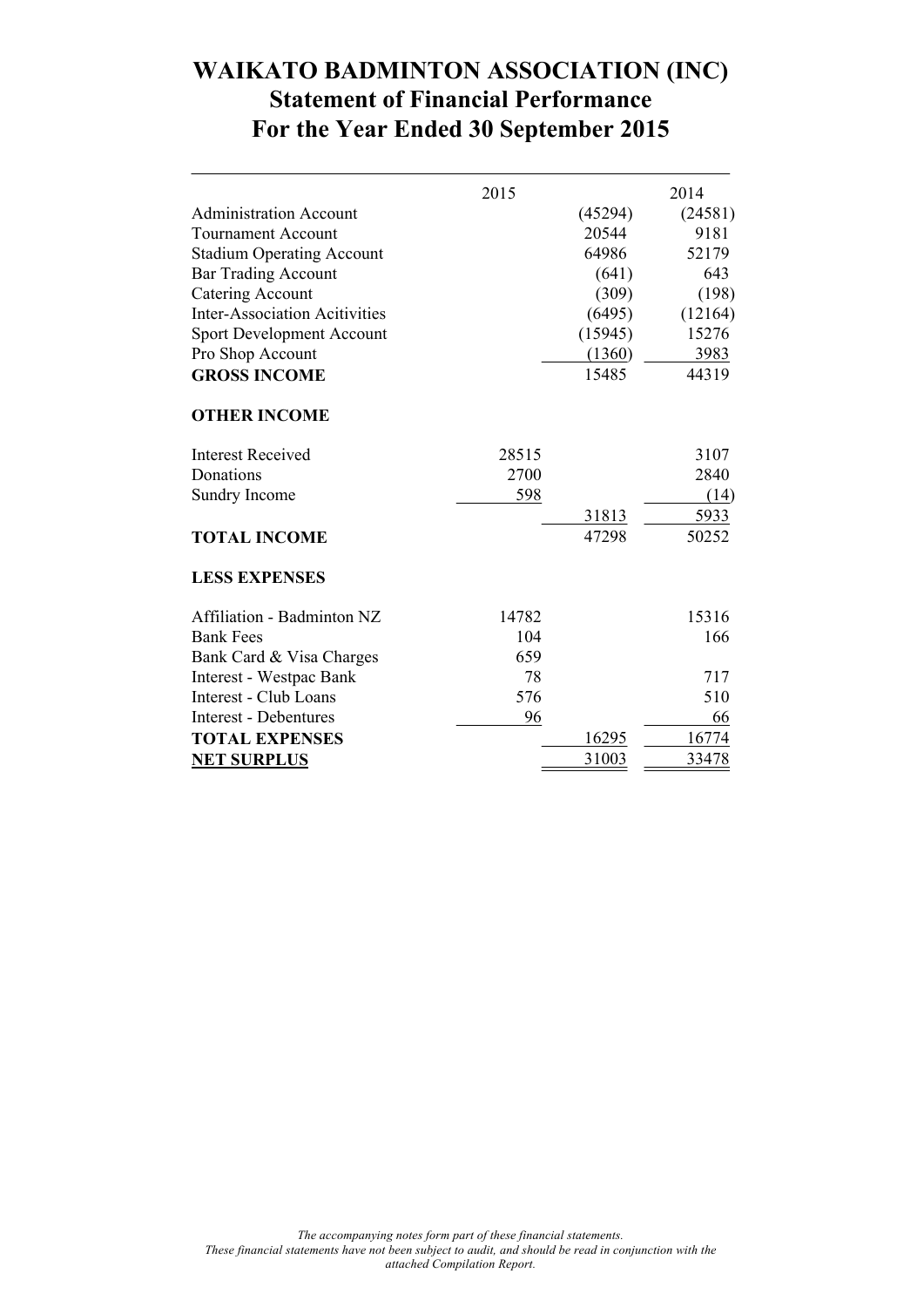### **WAIKATO BADMINTON ASSOCIATION (INC) Statement of Financial Performance For the Year Ended 30 September 2015**

|                                      | 2015  |         | 2014    |
|--------------------------------------|-------|---------|---------|
| <b>Administration Account</b>        |       | (45294) | (24581) |
| <b>Tournament Account</b>            |       | 20544   | 9181    |
| <b>Stadium Operating Account</b>     |       | 64986   | 52179   |
| <b>Bar Trading Account</b>           |       | (641)   | 643     |
| <b>Catering Account</b>              |       | (309)   | (198)   |
| <b>Inter-Association Acitivities</b> |       | (6495)  | (12164) |
| <b>Sport Development Account</b>     |       | (15945) | 15276   |
| Pro Shop Account                     |       | (1360)  | 3983    |
| <b>GROSS INCOME</b>                  |       | 15485   | 44319   |
| <b>OTHER INCOME</b>                  |       |         |         |
| <b>Interest Received</b>             | 28515 |         | 3107    |
| Donations                            | 2700  |         | 2840    |
| Sundry Income                        | 598   |         | (14)    |
|                                      |       | 31813   | 5933    |
| <b>TOTAL INCOME</b>                  |       | 47298   | 50252   |
| <b>LESS EXPENSES</b>                 |       |         |         |
| Affiliation - Badminton NZ           | 14782 |         | 15316   |
| <b>Bank Fees</b>                     | 104   |         | 166     |
| Bank Card & Visa Charges             | 659   |         |         |
| Interest - Westpac Bank              | 78    |         | 717     |
| Interest - Club Loans                | 576   |         | 510     |
| <b>Interest - Debentures</b>         | 96    |         | 66      |
| <b>TOTAL EXPENSES</b>                |       | 16295   | 16774   |
| <b>NET SURPLUS</b>                   |       | 31003   | 33478   |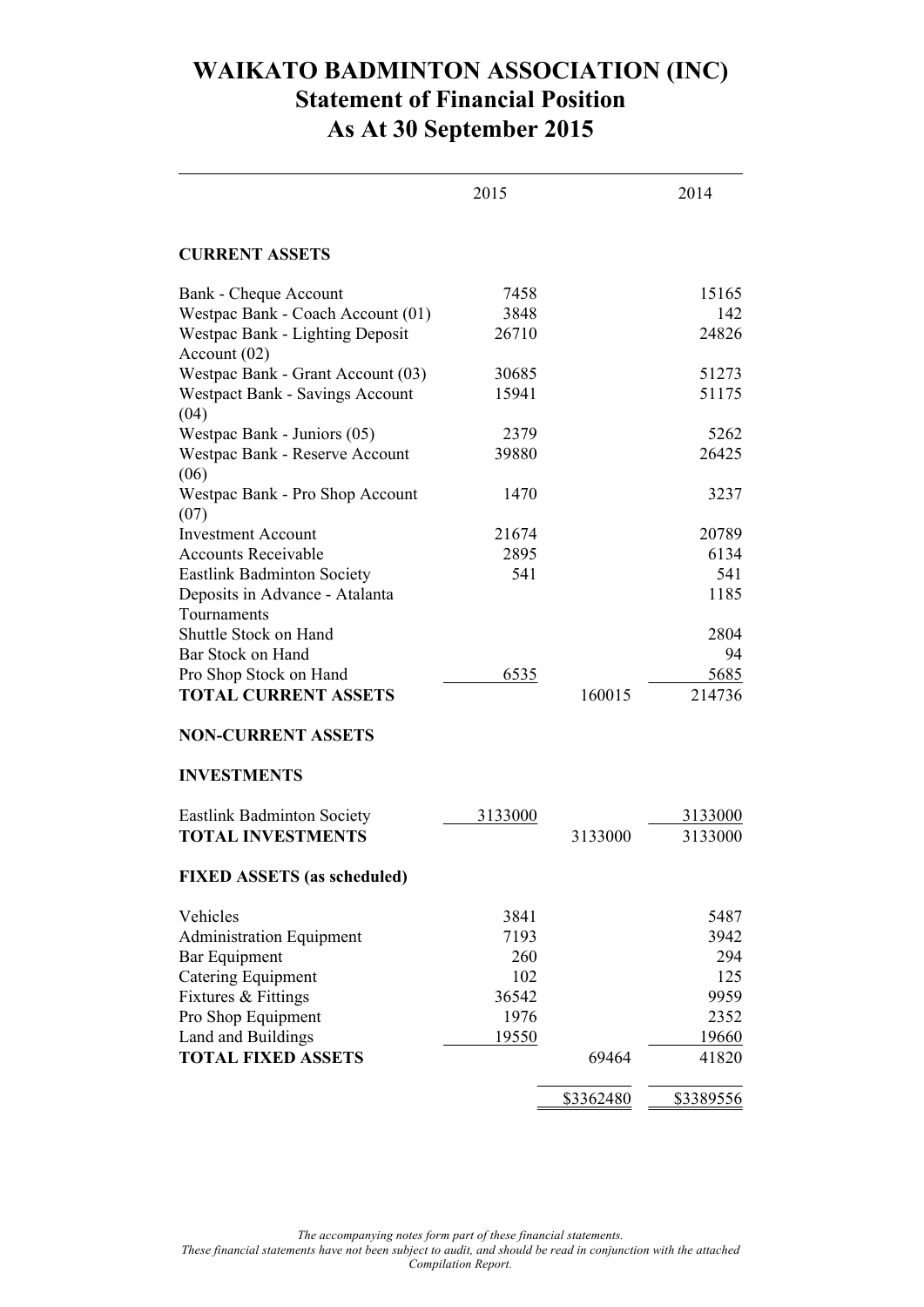## **WAIKATO BADMINTON ASSOCIATION (INC) Statement of Financial Position As At 30 September 2015**

|                                                 | 2015    |           | 2014      |
|-------------------------------------------------|---------|-----------|-----------|
| <b>CURRENT ASSETS</b>                           |         |           |           |
| Bank - Cheque Account                           | 7458    |           | 15165     |
| Westpac Bank - Coach Account (01)               | 3848    |           | 142       |
| Westpac Bank - Lighting Deposit<br>Account (02) | 26710   |           | 24826     |
| Westpac Bank - Grant Account (03)               | 30685   |           | 51273     |
| Westpact Bank - Savings Account<br>(04)         | 15941   |           | 51175     |
| Westpac Bank - Juniors (05)                     | 2379    |           | 5262      |
| Westpac Bank - Reserve Account<br>(06)          | 39880   |           | 26425     |
| Westpac Bank - Pro Shop Account<br>(07)         | 1470    |           | 3237      |
| <b>Investment Account</b>                       | 21674   |           | 20789     |
| <b>Accounts Receivable</b>                      | 2895    |           | 6134      |
| <b>Eastlink Badminton Society</b>               | 541     |           | 541       |
| Deposits in Advance - Atalanta<br>Tournaments   |         |           | 1185      |
| Shuttle Stock on Hand                           |         |           | 2804      |
| Bar Stock on Hand                               |         |           | 94        |
| Pro Shop Stock on Hand                          | 6535    |           | 5685      |
| <b>TOTAL CURRENT ASSETS</b>                     |         | 160015    | 214736    |
| <b>NON-CURRENT ASSETS</b>                       |         |           |           |
| <b>INVESTMENTS</b>                              |         |           |           |
| <b>Eastlink Badminton Society</b>               | 3133000 |           | 3133000   |
| <b>TOTAL INVESTMENTS</b>                        |         | 3133000   | 3133000   |
| <b>FIXED ASSETS</b> (as scheduled)              |         |           |           |
| Vehicles                                        | 3841    |           | 5487      |
| <b>Administration Equipment</b>                 | 7193    |           | 3942      |
| Bar Equipment                                   | 260     |           | 294       |
| <b>Catering Equipment</b>                       | 102     |           | 125       |
| Fixtures & Fittings                             | 36542   |           | 9959      |
| Pro Shop Equipment                              | 1976    |           | 2352      |
| Land and Buildings                              | 19550   |           | 19660     |
| <b>TOTAL FIXED ASSETS</b>                       |         | 69464     | 41820     |
|                                                 |         | \$3362480 | \$3389556 |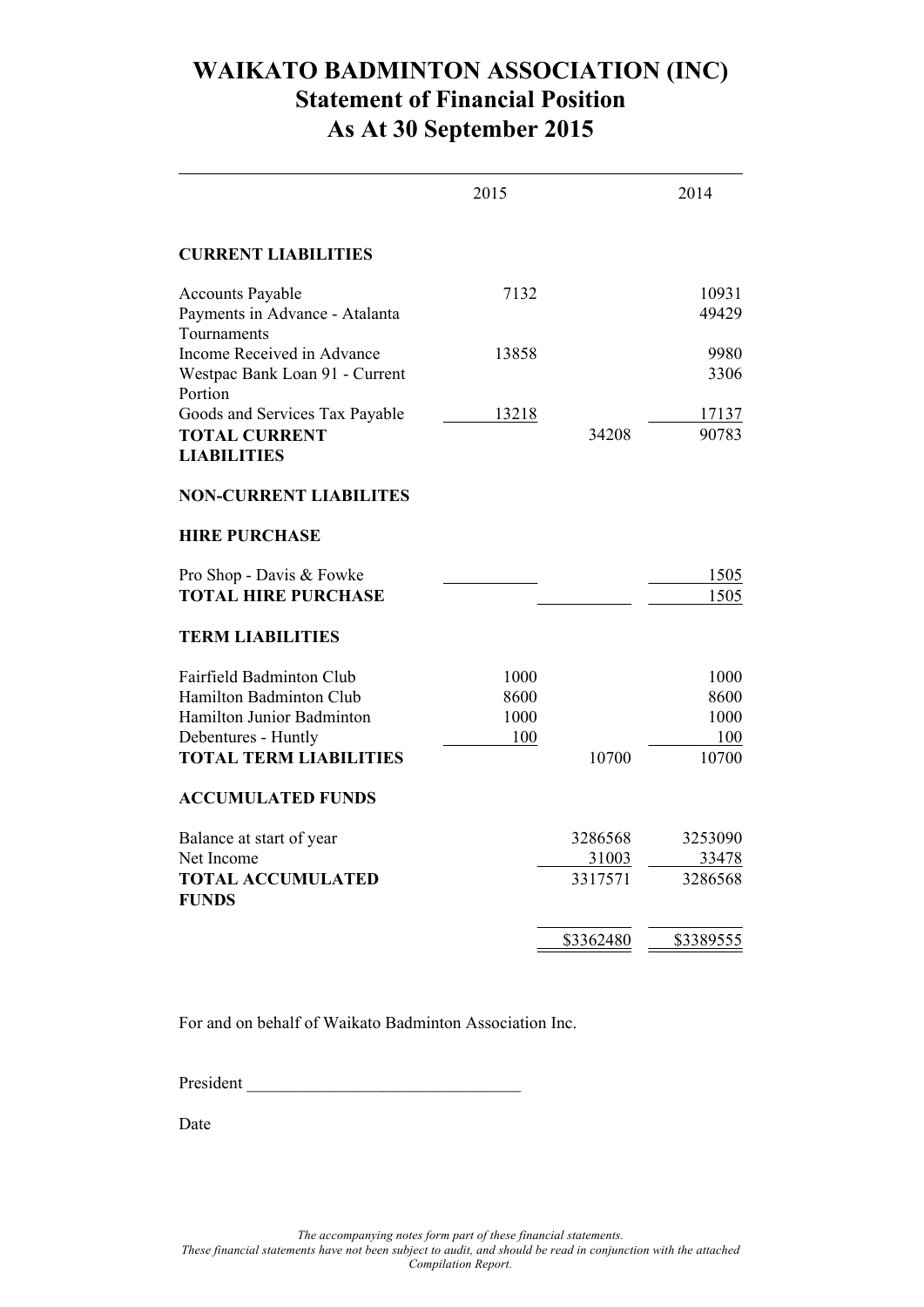### **WAIKATO BADMINTON ASSOCIATION (INC) Statement of Financial Position As At 30 September 2015**

|                                                                                                                                          | 2015                        |                             | 2014                                 |
|------------------------------------------------------------------------------------------------------------------------------------------|-----------------------------|-----------------------------|--------------------------------------|
| <b>CURRENT LIABILITIES</b>                                                                                                               |                             |                             |                                      |
| <b>Accounts Payable</b><br>Payments in Advance - Atalanta                                                                                | 7132                        |                             | 10931<br>49429                       |
| Tournaments<br>Income Received in Advance<br>Westpac Bank Loan 91 - Current                                                              | 13858                       |                             | 9980<br>3306                         |
| Portion<br>Goods and Services Tax Payable<br><b>TOTAL CURRENT</b><br><b>LIABILITIES</b>                                                  | 13218                       | 34208                       | 17137<br>90783                       |
| <b>NON-CURRENT LIABILITES</b>                                                                                                            |                             |                             |                                      |
| <b>HIRE PURCHASE</b>                                                                                                                     |                             |                             |                                      |
| Pro Shop - Davis & Fowke<br><b>TOTAL HIRE PURCHASE</b>                                                                                   |                             |                             | 1505<br>1505                         |
| <b>TERM LIABILITIES</b>                                                                                                                  |                             |                             |                                      |
| Fairfield Badminton Club<br>Hamilton Badminton Club<br>Hamilton Junior Badminton<br>Debentures - Huntly<br><b>TOTAL TERM LIABILITIES</b> | 1000<br>8600<br>1000<br>100 | 10700                       | 1000<br>8600<br>1000<br>100<br>10700 |
| <b>ACCUMULATED FUNDS</b>                                                                                                                 |                             |                             |                                      |
| Balance at start of year<br>Net Income<br><b>TOTAL ACCUMULATED</b><br><b>FUNDS</b>                                                       |                             | 3286568<br>31003<br>3317571 | 3253090<br>33478<br>3286568          |
|                                                                                                                                          |                             | \$3362480                   | \$3389555                            |

For and on behalf of Waikato Badminton Association Inc.

President \_\_\_\_\_\_\_\_\_\_\_\_\_\_\_\_\_\_\_\_\_\_\_\_\_\_\_\_\_\_\_\_

Date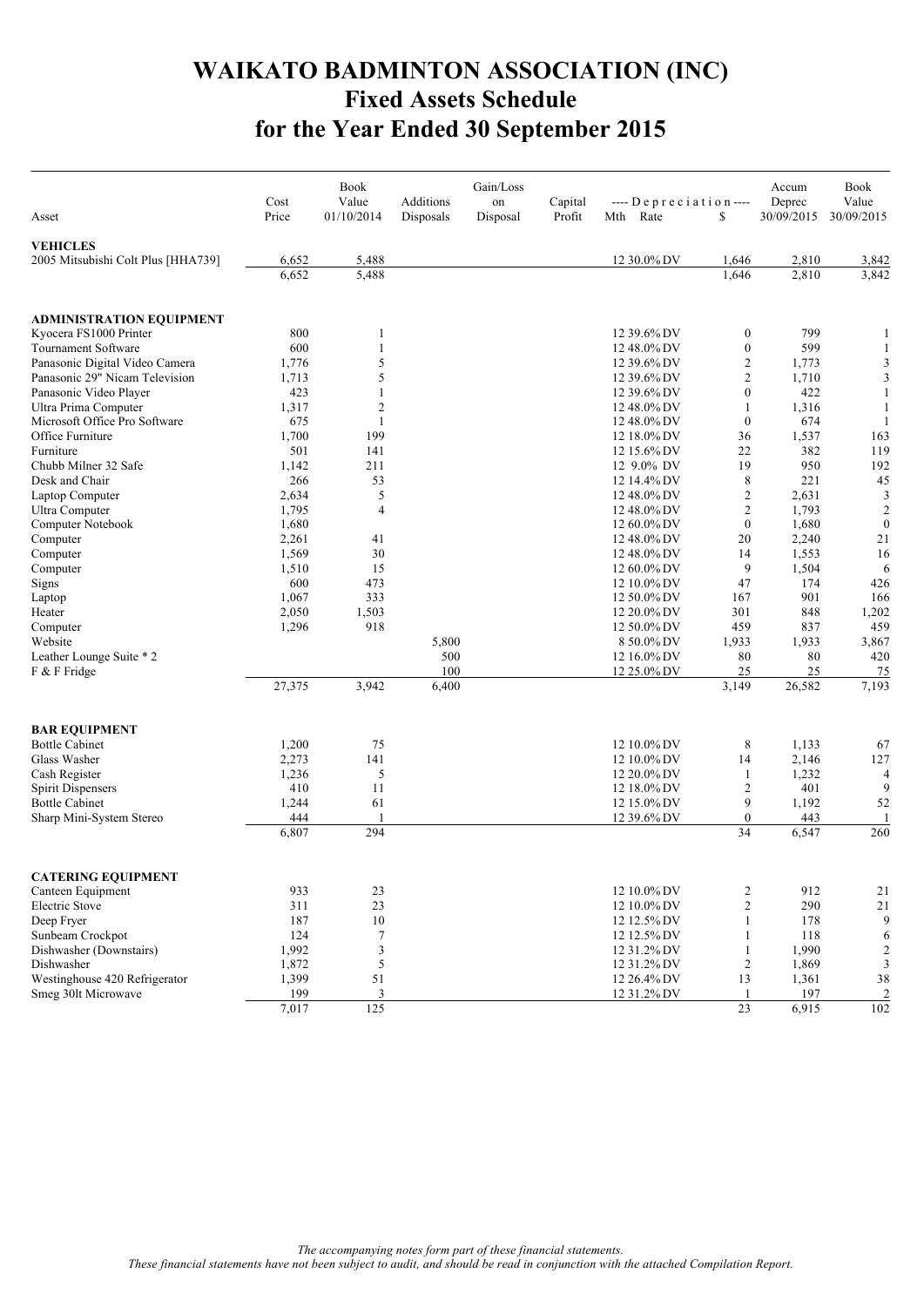## **WAIKATO BADMINTON ASSOCIATION (INC) Fixed Assets Schedule for the Year Ended 30 September 2015**

|                                    | Cost           | <b>Book</b><br>Value | Additions | Gain/Loss<br>on | Capital | $---$ Depreciation $---$   |                         | Accum<br>Deprec | <b>Book</b><br>Value |
|------------------------------------|----------------|----------------------|-----------|-----------------|---------|----------------------------|-------------------------|-----------------|----------------------|
| Asset                              | Price          | 01/10/2014           | Disposals | Disposal        | Profit  | Rate<br>Mth                | \$                      | 30/09/2015      | 30/09/2015           |
| <b>VEHICLES</b>                    |                |                      |           |                 |         |                            |                         |                 |                      |
| 2005 Mitsubishi Colt Plus [HHA739] | 6,652          | 5,488                |           |                 |         | 12 30.0% DV                | 1,646                   | 2,810           | 3,842                |
|                                    | 6,652          | 5,488                |           |                 |         |                            | 1,646                   | 2,810           | 3,842                |
| <b>ADMINISTRATION EQUIPMENT</b>    |                |                      |           |                 |         |                            |                         |                 |                      |
| Kyocera FS1000 Printer             | 800            | 1                    |           |                 |         | 12 39.6% DV                | $\boldsymbol{0}$        | 799             | 1                    |
| Tournament Software                | 600            | $\mathbf{1}$         |           |                 |         | 12 48.0% DV                | $\boldsymbol{0}$        | 599             | 1                    |
| Panasonic Digital Video Camera     | 1,776          | 5                    |           |                 |         | 12 39.6% DV                | $\overline{2}$          | 1,773           | 3                    |
| Panasonic 29" Nicam Television     | 1,713          | 5                    |           |                 |         | 12 39.6% DV                | $\overline{2}$          | 1,710           | 3                    |
| Panasonic Video Player             | 423            | $\mathbf{1}$         |           |                 |         | 12 39.6% DV                | $\boldsymbol{0}$        | 422             | $\mathbf{1}$         |
| Ultra Prima Computer               | 1,317          | $\overline{c}$       |           |                 |         | 12 48.0% DV                | 1                       | 1,316           | -1                   |
| Microsoft Office Pro Software      | 675            | 1                    |           |                 |         | 12 48.0% DV                | $\boldsymbol{0}$        | 674             | $\mathbf{1}$         |
| Office Furniture                   | 1,700          | 199                  |           |                 |         | 12 18.0% DV                | 36                      | 1,537           | 163                  |
| Furniture                          | 501            | 141                  |           |                 |         | 12 15.6% DV                | 22                      | 382             | 119                  |
| Chubb Milner 32 Safe               | 1,142          | 211                  |           |                 |         | 12 9.0% DV                 | 19                      | 950             | 192                  |
| Desk and Chair                     | 266            | 53                   |           |                 |         | 12 14.4% DV                | 8                       | 221             | 45                   |
| Laptop Computer                    | 2,634          | 5                    |           |                 |         | 12 48.0% DV                | $\sqrt{2}$              | 2,631           | 3                    |
| Ultra Computer                     | 1,795          | $\overline{4}$       |           |                 |         | 12 48.0% DV                | $\sqrt{2}$              | 1,793           | $\overline{2}$       |
| Computer Notebook                  | 1,680          |                      |           |                 |         | 12 60.0% DV                | $\boldsymbol{0}$        | 1,680           | $\theta$             |
| Computer                           | 2,261          | 41                   |           |                 |         | 12 48.0% DV                | 20                      | 2,240           | 21                   |
| Computer                           | 1,569          | 30                   |           |                 |         | 12 48.0% DV                | 14                      | 1,553           | 16                   |
| Computer                           | 1,510<br>600   | 15<br>473            |           |                 |         | 12 60.0% DV                | 9                       | 1,504<br>174    | 6                    |
| Signs                              |                |                      |           |                 |         | 12 10.0% DV                | 47                      | 901             | 426                  |
| Laptop                             | 1,067<br>2,050 | 333<br>1,503         |           |                 |         | 12 50.0% DV<br>12 20.0% DV | 167<br>301              | 848             | 166<br>1,202         |
| Heater                             | 1,296          | 918                  |           |                 |         |                            | 459                     | 837             | 459                  |
| Computer<br>Website                |                |                      | 5,800     |                 |         | 12 50.0% DV<br>8 50.0% DV  | 1,933                   | 1,933           | 3,867                |
| Leather Lounge Suite * 2           |                |                      | 500       |                 |         | 12 16.0% DV                | 80                      | 80              | 420                  |
| F & F Fridge                       |                |                      | 100       |                 |         | 12 25.0% DV                | 25                      | 25              | 75                   |
|                                    | 27,375         | 3,942                | 6,400     |                 |         |                            | 3,149                   | 26,582          | 7,193                |
| <b>BAR EQUIPMENT</b>               |                |                      |           |                 |         |                            |                         |                 |                      |
| <b>Bottle Cabinet</b>              | 1,200          | 75                   |           |                 |         | 12 10.0% DV                | 8                       | 1,133           | 67                   |
| Glass Washer                       | 2,273          | 141                  |           |                 |         | 12 10.0% DV                | 14                      | 2,146           | 127                  |
| Cash Register                      | 1,236          | 5                    |           |                 |         | 12 20.0% DV                | $\mathbf{1}$            | 1,232           | $\overline{4}$       |
| Spirit Dispensers                  | 410            | 11                   |           |                 |         | 12 18.0% DV                | $\sqrt{2}$              | 401             | 9                    |
| <b>Bottle Cabinet</b>              | 1,244          | 61                   |           |                 |         | 12 15.0% DV                | 9                       | 1,192           | 52                   |
| Sharp Mini-System Stereo           | 444            |                      |           |                 |         | 12 39.6% DV                | $\overline{0}$          | 443             | $\mathbf{1}$         |
|                                    | 6,807          | 294                  |           |                 |         |                            | 34                      | 6,547           | 260                  |
| <b>CATERING EQUIPMENT</b>          |                |                      |           |                 |         |                            |                         |                 |                      |
| Canteen Equipment                  | 933            | 23                   |           |                 |         | 12 10.0% DV                | $\overline{\mathbf{c}}$ | 912             | 21                   |
| <b>Electric Stove</b>              | 311            | 23                   |           |                 |         | 12 10.0% DV                | $\overline{c}$          | 290             | $21\,$               |
| Deep Fryer                         | 187            | 10                   |           |                 |         | 12 12.5% DV                | $\mathbf{1}$            | 178             | 9                    |
| Sunbeam Crockpot                   | 124            | $\tau$               |           |                 |         | 12 12.5% DV                | $\mathbf{1}$            | 118             | 6                    |
| Dishwasher (Downstairs)            | 1,992          | $\mathfrak z$        |           |                 |         | 12 31.2% DV                | $\mathbf{1}$            | 1,990           | $\overline{c}$       |
| Dishwasher                         | 1,872          | 5                    |           |                 |         | 12 31.2% DV                | $\overline{c}$          | 1,869           | 3                    |
| Westinghouse 420 Refrigerator      | 1,399          | 51                   |           |                 |         | 12 26.4% DV                | 13                      | 1,361           | 38                   |
| Smeg 30lt Microwave                | 199            | 3                    |           |                 |         | 12 31.2% DV                | 1                       | 197             | $\overline{2}$       |
|                                    | 7,017          | 125                  |           |                 |         |                            | $23\,$                  | 6,915           | 102                  |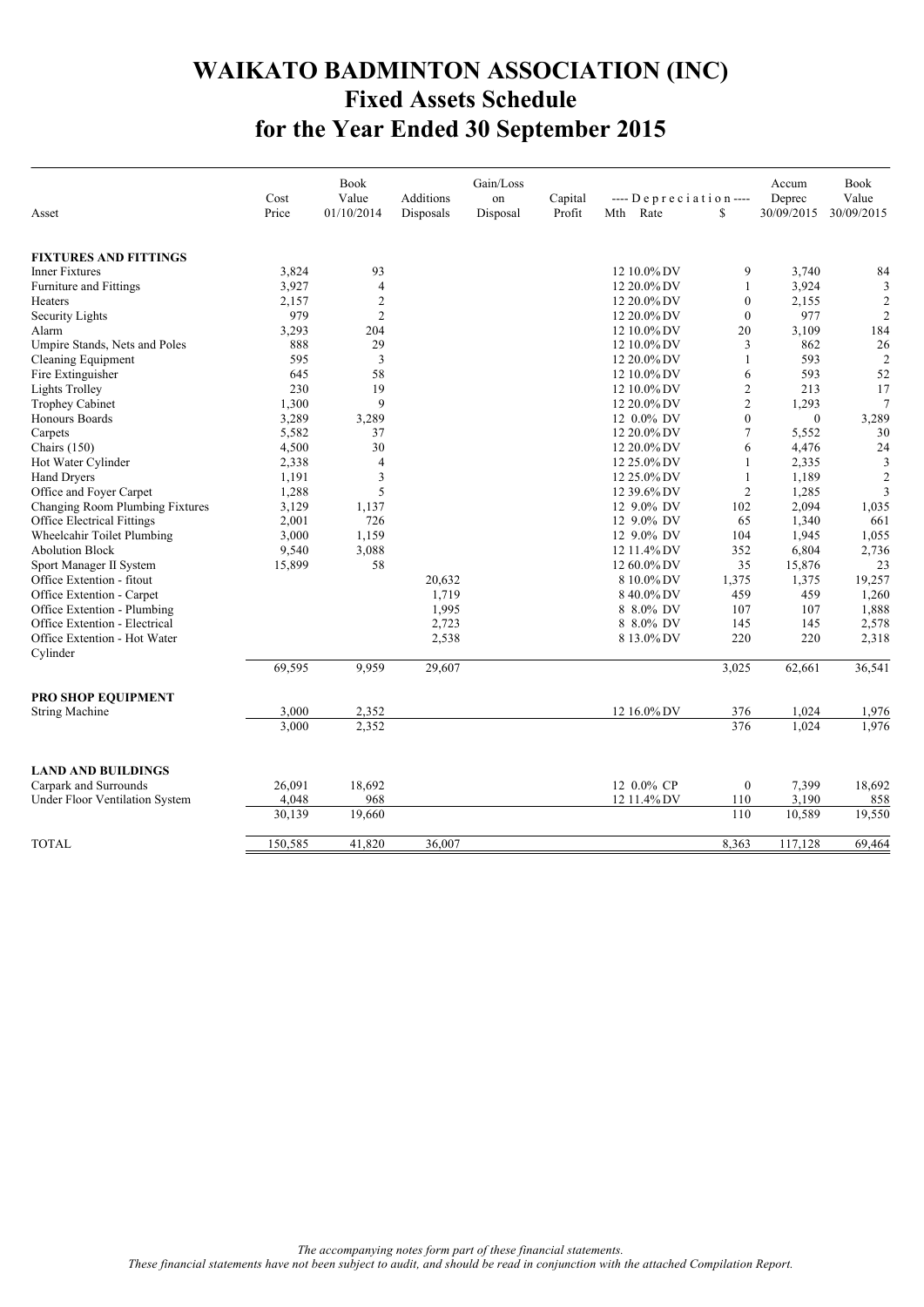## **WAIKATO BADMINTON ASSOCIATION (INC) Fixed Assets Schedule for the Year Ended 30 September 2015**

|                                            | Cost         | <b>Book</b><br>Value             | Additions | Gain/Loss<br>on | Capital | $---$ Depreciation $---$      |                              | Accum<br>Deprec | Book<br>Value                    |
|--------------------------------------------|--------------|----------------------------------|-----------|-----------------|---------|-------------------------------|------------------------------|-----------------|----------------------------------|
| Asset                                      | Price        | 01/10/2014                       | Disposals | Disposal        | Profit  | Rate<br>Mth                   | \$                           | 30/09/2015      | 30/09/2015                       |
|                                            |              |                                  |           |                 |         |                               |                              |                 |                                  |
| <b>FIXTURES AND FITTINGS</b>               |              |                                  |           |                 |         |                               |                              |                 |                                  |
| <b>Inner Fixtures</b>                      | 3,824        | 93                               |           |                 |         | $12~10.0\%$ DV                | 9                            | 3,740           | 84                               |
| Furniture and Fittings                     | 3,927        | $\overline{\mathcal{L}}$         |           |                 |         | 12 20.0% DV                   | 1                            | 3,924           | 3                                |
| Heaters                                    | 2,157<br>979 | $\overline{2}$<br>$\overline{2}$ |           |                 |         | 12 20.0% DV                   | $\boldsymbol{0}$<br>$\theta$ | 2,155<br>977    | $\overline{2}$<br>$\overline{2}$ |
| Security Lights                            |              |                                  |           |                 |         | 12 20.0% DV                   |                              |                 | 184                              |
| Alarm<br>Umpire Stands, Nets and Poles     | 3,293<br>888 | 204<br>29                        |           |                 |         | 12 10.0% DV<br>$12~10.0\%$ DV | 20<br>3                      | 3,109<br>862    | 26                               |
|                                            | 595          | 3                                |           |                 |         | 12 20.0% DV                   | $\mathbf{1}$                 | 593             | $\overline{2}$                   |
| Cleaning Equipment                         | 645          | 58                               |           |                 |         |                               | 6                            | 593             | 52                               |
| Fire Extinguisher<br><b>Lights Trolley</b> | 230          | 19                               |           |                 |         | 12 10.0% DV<br>12 10.0% DV    | $\mathfrak{2}$               | 213             | 17                               |
| <b>Trophey Cabinet</b>                     | 1,300        | 9                                |           |                 |         | 12 20.0% DV                   | $\mathfrak{2}$               | 1,293           | $\overline{7}$                   |
| Honours Boards                             | 3,289        | 3,289                            |           |                 |         | 12 0.0% DV                    | $\theta$                     | $\mathbf{0}$    | 3,289                            |
| Carpets                                    | 5,582        | 37                               |           |                 |         | 12 20.0% DV                   | $\tau$                       | 5,552           | 30                               |
| Chairs $(150)$                             | 4,500        | 30                               |           |                 |         | 12 20.0% DV                   | 6                            | 4,476           | 24                               |
| Hot Water Cylinder                         | 2,338        | $\overline{4}$                   |           |                 |         | 12 25.0% DV                   | $\mathbf{1}$                 | 2,335           | 3                                |
| Hand Dryers                                | 1,191        | 3                                |           |                 |         | 12 25.0% DV                   | $\mathbf{1}$                 | 1,189           | $\overline{2}$                   |
| Office and Foyer Carpet                    | 1,288        | 5                                |           |                 |         | 12 39.6% DV                   | $\overline{c}$               | 1,285           | 3                                |
| Changing Room Plumbing Fixtures            | 3,129        | 1,137                            |           |                 |         | 12 9.0% DV                    | 102                          | 2,094           | 1,035                            |
| <b>Office Electrical Fittings</b>          | 2,001        | 726                              |           |                 |         | 12 9.0% DV                    | 65                           | 1,340           | 661                              |
| Wheelcahir Toilet Plumbing                 | 3,000        | 1,159                            |           |                 |         | 12 9.0% DV                    | 104                          | 1,945           | 1,055                            |
| <b>Abolution Block</b>                     | 9,540        | 3,088                            |           |                 |         | 12 11.4% DV                   | 352                          | 6,804           | 2,736                            |
| Sport Manager II System                    | 15,899       | 58                               |           |                 |         | 12 60.0% DV                   | 35                           | 15,876          | 23                               |
| Office Extention - fitout                  |              |                                  | 20,632    |                 |         | 8 10.0% DV                    | 1,375                        | 1,375           | 19,257                           |
| Office Extention - Carpet                  |              |                                  | 1,719     |                 |         | 840.0%DV                      | 459                          | 459             | 1,260                            |
| Office Extention - Plumbing                |              |                                  | 1,995     |                 |         | 8 8.0% DV                     | 107                          | 107             | 1,888                            |
| Office Extention - Electrical              |              |                                  | 2,723     |                 |         | 8 8.0% DV                     | 145                          | 145             | 2,578                            |
| Office Extention - Hot Water               |              |                                  | 2,538     |                 |         | 8 13.0% DV                    | 220                          | 220             | 2,318                            |
| Cylinder                                   |              |                                  |           |                 |         |                               |                              |                 |                                  |
|                                            | 69,595       | 9.959                            | 29,607    |                 |         |                               | 3,025                        | 62,661          | 36,541                           |
| PRO SHOP EQUIPMENT                         |              |                                  |           |                 |         |                               |                              |                 |                                  |
| <b>String Machine</b>                      | 3.000        | 2.352                            |           |                 |         | 12 16.0% DV                   | 376                          | 1.024           | 1,976                            |
|                                            | 3,000        | 2,352                            |           |                 |         |                               | 376                          | 1,024           | 1,976                            |
|                                            |              |                                  |           |                 |         |                               |                              |                 |                                  |
| <b>LAND AND BUILDINGS</b>                  |              |                                  |           |                 |         |                               |                              |                 |                                  |
| Carpark and Surrounds                      | 26,091       | 18,692                           |           |                 |         | 12 0.0% CP                    | $\boldsymbol{0}$             | 7,399           | 18,692                           |
| Under Floor Ventilation System             | 4,048        | 968                              |           |                 |         | 12 11.4% DV                   | 110                          | 3,190           | 858                              |
|                                            | 30,139       | 19,660                           |           |                 |         |                               | 110                          | 10,589          | 19,550                           |
| <b>TOTAL</b>                               | 150,585      | 41,820                           | 36,007    |                 |         |                               | 8,363                        | 117,128         | 69,464                           |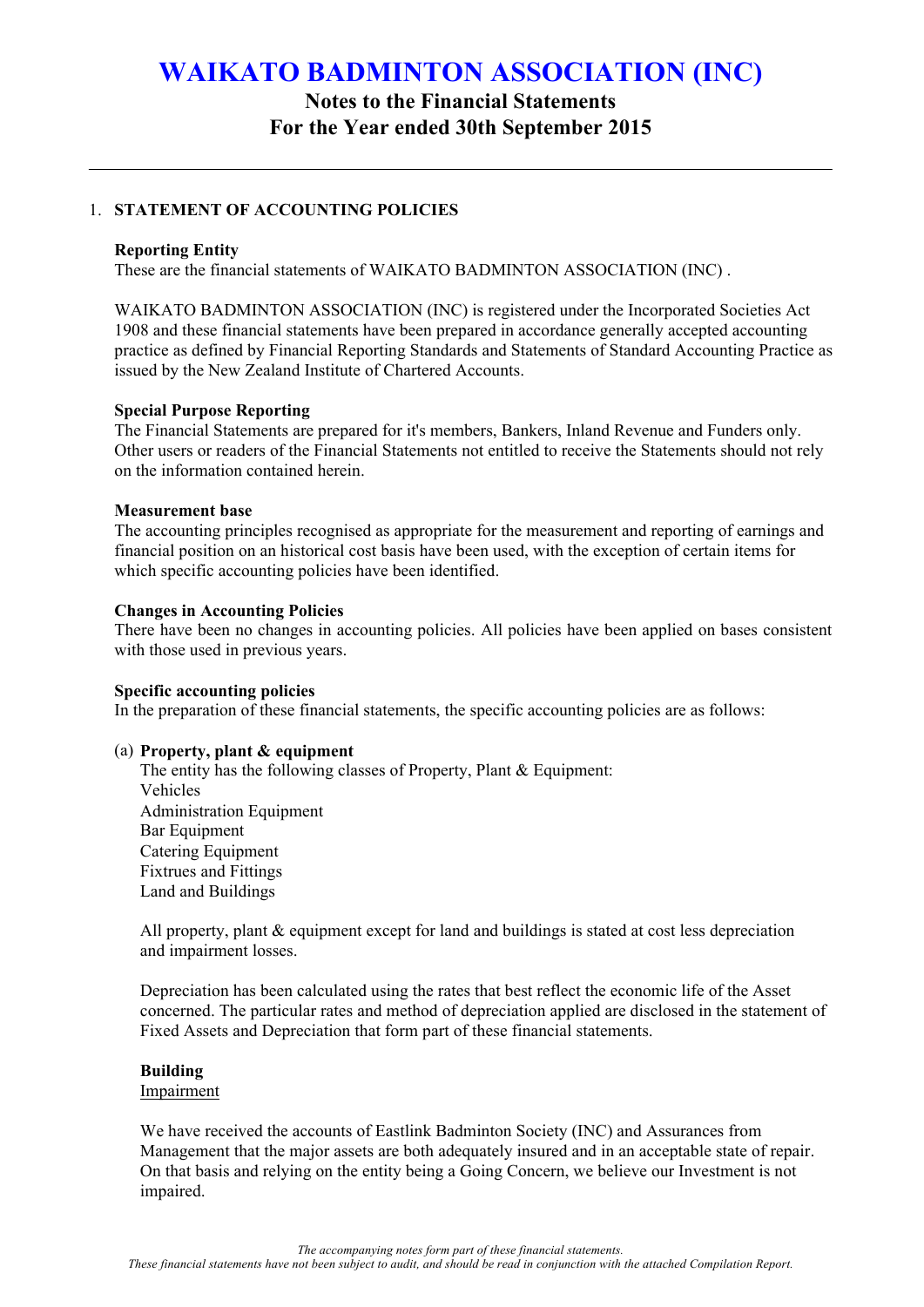### **Notes to the Financial Statements For the Year ended 30th September 2015**

#### 1. **STATEMENT OF ACCOUNTING POLICIES**

#### **Reporting Entity**

These are the financial statements of WAIKATO BADMINTON ASSOCIATION (INC) .

WAIKATO BADMINTON ASSOCIATION (INC) is registered under the Incorporated Societies Act 1908 and these financial statements have been prepared in accordance generally accepted accounting practice as defined by Financial Reporting Standards and Statements of Standard Accounting Practice as issued by the New Zealand Institute of Chartered Accounts.

#### **Special Purpose Reporting**

The Financial Statements are prepared for it's members, Bankers, Inland Revenue and Funders only. Other users or readers of the Financial Statements not entitled to receive the Statements should not rely on the information contained herein.

#### **Measurement base**

The accounting principles recognised as appropriate for the measurement and reporting of earnings and financial position on an historical cost basis have been used, with the exception of certain items for which specific accounting policies have been identified.

#### **Changes in Accounting Policies**

There have been no changes in accounting policies. All policies have been applied on bases consistent with those used in previous years.

#### **Specific accounting policies**

In the preparation of these financial statements, the specific accounting policies are as follows:

#### (a) **Property, plant & equipment**

The entity has the following classes of Property, Plant & Equipment: Vehicles Administration Equipment Bar Equipment Catering Equipment Fixtrues and Fittings Land and Buildings

All property, plant  $\&$  equipment except for land and buildings is stated at cost less depreciation and impairment losses.

Depreciation has been calculated using the rates that best reflect the economic life of the Asset concerned. The particular rates and method of depreciation applied are disclosed in the statement of Fixed Assets and Depreciation that form part of these financial statements.

#### **Building**

#### Impairment

We have received the accounts of Eastlink Badminton Society (INC) and Assurances from Management that the major assets are both adequately insured and in an acceptable state of repair. On that basis and relying on the entity being a Going Concern, we believe our Investment is not impaired.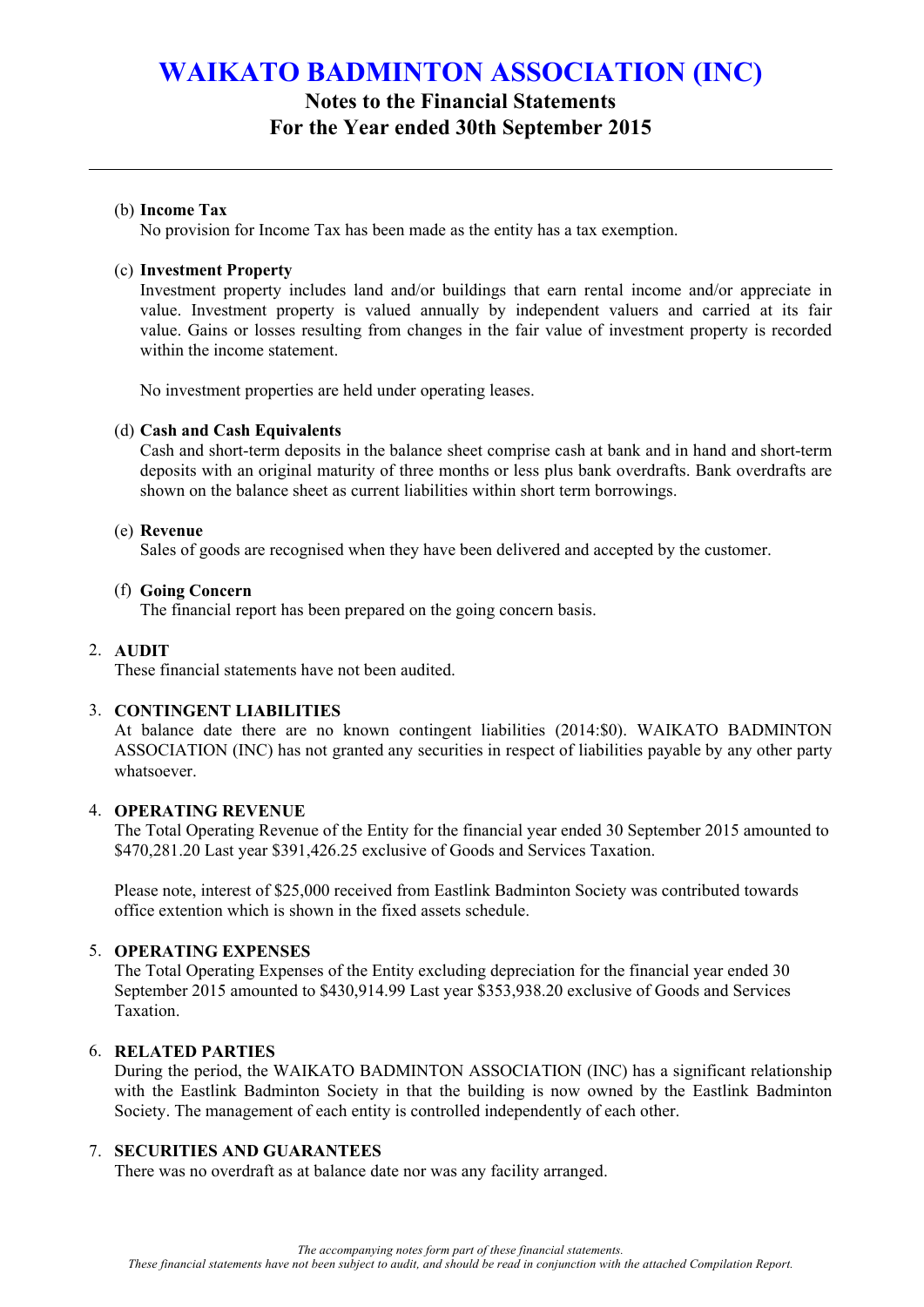### **Notes to the Financial Statements For the Year ended 30th September 2015**

#### (b) **Income Tax**

No provision for Income Tax has been made as the entity has a tax exemption.

#### (c) **Investment Property**

Investment property includes land and/or buildings that earn rental income and/or appreciate in value. Investment property is valued annually by independent valuers and carried at its fair value. Gains or losses resulting from changes in the fair value of investment property is recorded within the income statement.

No investment properties are held under operating leases.

#### (d) **Cash and Cash Equivalents**

Cash and short-term deposits in the balance sheet comprise cash at bank and in hand and short-term deposits with an original maturity of three months or less plus bank overdrafts. Bank overdrafts are shown on the balance sheet as current liabilities within short term borrowings.

#### (e) **Revenue**

Sales of goods are recognised when they have been delivered and accepted by the customer.

#### (f) **Going Concern**

The financial report has been prepared on the going concern basis.

#### 2. **AUDIT**

These financial statements have not been audited.

#### 3. **CONTINGENT LIABILITIES**

At balance date there are no known contingent liabilities (2014:\$0). WAIKATO BADMINTON ASSOCIATION (INC) has not granted any securities in respect of liabilities payable by any other party whatsoever.

#### 4. **OPERATING REVENUE**

The Total Operating Revenue of the Entity for the financial year ended 30 September 2015 amounted to \$470,281.20 Last year \$391,426.25 exclusive of Goods and Services Taxation.

Please note, interest of \$25,000 received from Eastlink Badminton Society was contributed towards office extention which is shown in the fixed assets schedule.

#### 5. **OPERATING EXPENSES**

The Total Operating Expenses of the Entity excluding depreciation for the financial year ended 30 September 2015 amounted to \$430,914.99 Last year \$353,938.20 exclusive of Goods and Services Taxation.

#### 6. **RELATED PARTIES**

During the period, the WAIKATO BADMINTON ASSOCIATION (INC) has a significant relationship with the Eastlink Badminton Society in that the building is now owned by the Eastlink Badminton Society. The management of each entity is controlled independently of each other.

#### 7. **SECURITIES AND GUARANTEES**

There was no overdraft as at balance date nor was any facility arranged.